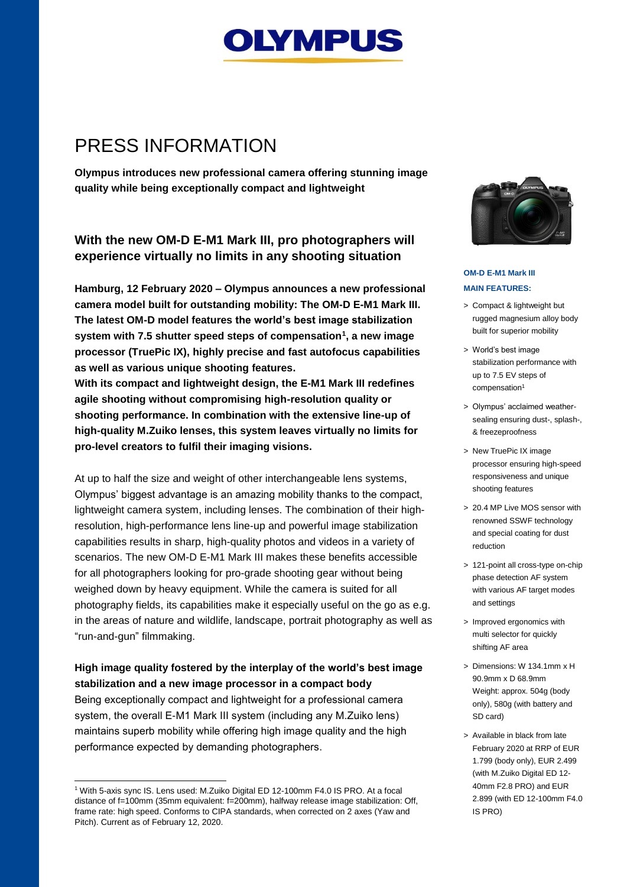

## PRESS INFORMATION

**Olympus introduces new professional camera offering stunning image quality while being exceptionally compact and lightweight**

## **With the new OM-D E-M1 Mark III, pro photographers will experience virtually no limits in any shooting situation**

**Hamburg, 12 February 2020 – Olympus announces a new professional camera model built for outstanding mobility: The OM-D E-M1 Mark III. The latest OM-D model features the world's best image stabilization system with 7.5 shutter speed steps of compensation<sup>1</sup> , a new image processor (TruePic IX), highly precise and fast autofocus capabilities as well as various unique shooting features. With its compact and lightweight design, the E-M1 Mark III redefines agile shooting without compromising high-resolution quality or** 

**shooting performance. In combination with the extensive line-up of high-quality M.Zuiko lenses, this system leaves virtually no limits for pro-level creators to fulfil their imaging visions.**

At up to half the size and weight of other interchangeable lens systems, Olympus' biggest advantage is an amazing mobility thanks to the compact, lightweight camera system, including lenses. The combination of their highresolution, high-performance lens line-up and powerful image stabilization capabilities results in sharp, high-quality photos and videos in a variety of scenarios. The new OM-D E-M1 Mark III makes these benefits accessible for all photographers looking for pro-grade shooting gear without being weighed down by heavy equipment. While the camera is suited for all photography fields, its capabilities make it especially useful on the go as e.g. in the areas of nature and wildlife, landscape, portrait photography as well as "run-and-gun" filmmaking.

## **High image quality fostered by the interplay of the world's best image stabilization and a new image processor in a compact body**

Being exceptionally compact and lightweight for a professional camera system, the overall E-M1 Mark III system (including any M.Zuiko lens) maintains superb mobility while offering high image quality and the high performance expected by demanding photographers.

l



#### **OM-D E-M1 Mark III MAIN FEATURES:**

- > Compact & lightweight but rugged magnesium alloy body built for superior mobility
- > World's best image stabilization performance with up to 7.5 EV steps of compensation<sup>1</sup>
- > Olympus' acclaimed weathersealing ensuring dust-, splash-, & freezeproofness
- > New TruePic IX image processor ensuring high-speed responsiveness and unique shooting features
- > 20.4 MP Live MOS sensor with renowned SSWF technology and special coating for dust reduction
- > 121-point all cross-type on-chip phase detection AF system with various AF target modes and settings
- > Improved ergonomics with multi selector for quickly shifting AF area
- > Dimensions: W 134.1mm x H 90.9mm x D 68.9mm Weight: approx. 504g (body only), 580g (with battery and SD card)
- > Available in black from late February 2020 at RRP of EUR 1.799 (body only), EUR 2.499 (with M.Zuiko Digital ED 12- 40mm F2.8 PRO) and EUR 2.899 (with ED 12-100mm F4.0 IS PRO)

<sup>1</sup> With 5-axis sync IS. Lens used: M.Zuiko Digital ED 12-100mm F4.0 IS PRO. At a focal distance of f=100mm (35mm equivalent: f=200mm), halfway release image stabilization: Off, frame rate: high speed. Conforms to CIPA standards, when corrected on 2 axes (Yaw and Pitch). Current as of February 12, 2020.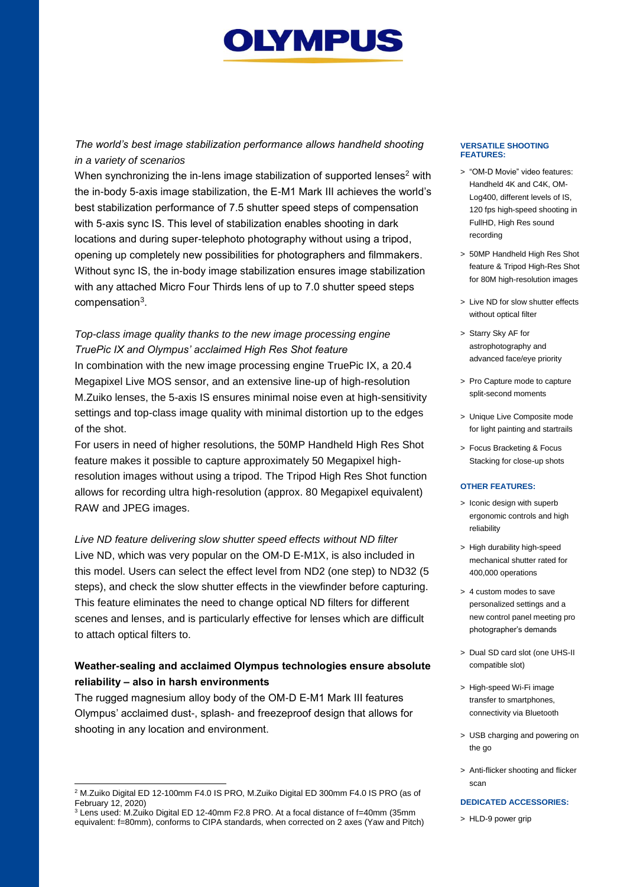# **OLYMPUS**

*The world's best image stabilization performance allows handheld shooting in a variety of scenarios*

When synchronizing the in-lens image stabilization of supported lenses<sup>2</sup> with the in-body 5-axis image stabilization, the E-M1 Mark III achieves the world's best stabilization performance of 7.5 shutter speed steps of compensation with 5-axis sync IS. This level of stabilization enables shooting in dark locations and during super-telephoto photography without using a tripod, opening up completely new possibilities for photographers and filmmakers. Without sync IS, the in-body image stabilization ensures image stabilization with any attached Micro Four Thirds lens of up to 7.0 shutter speed steps compensation<sup>3</sup>.

## *Top-class image quality thanks to the new image processing engine TruePic IX and Olympus' acclaimed High Res Shot feature*

In combination with the new image processing engine TruePic IX, a 20.4 Megapixel Live MOS sensor, and an extensive line-up of high-resolution M.Zuiko lenses, the 5-axis IS ensures minimal noise even at high-sensitivity settings and top-class image quality with minimal distortion up to the edges of the shot.

For users in need of higher resolutions, the 50MP Handheld High Res Shot feature makes it possible to capture approximately 50 Megapixel highresolution images without using a tripod. The Tripod High Res Shot function allows for recording ultra high-resolution (approx. 80 Megapixel equivalent) RAW and JPEG images.

*Live ND feature delivering slow shutter speed effects without ND filter* Live ND, which was very popular on the OM-D E-M1X, is also included in this model. Users can select the effect level from ND2 (one step) to ND32 (5 steps), and check the slow shutter effects in the viewfinder before capturing. This feature eliminates the need to change optical ND filters for different scenes and lenses, and is particularly effective for lenses which are difficult to attach optical filters to.

## **Weather-sealing and acclaimed Olympus technologies ensure absolute reliability – also in harsh environments**

The rugged magnesium alloy body of the OM-D E-M1 Mark III features Olympus' acclaimed dust-, splash- and freezeproof design that allows for shooting in any location and environment.

#### **VERSATILE SHOOTING FEATURES:**

- > "OM-D Movie" video features: Handheld 4K and C4K, OM-Log400, different levels of IS, 120 fps high-speed shooting in FullHD, High Res sound recording
- > 50MP Handheld High Res Shot feature & Tripod High-Res Shot for 80M high-resolution images
- > Live ND for slow shutter effects without optical filter
- > Starry Sky AF for astrophotography and advanced face/eye priority
- > Pro Capture mode to capture split-second moments
- > Unique Live Composite mode for light painting and startrails
- > Focus Bracketing & Focus Stacking for close-up shots

#### **OTHER FEATURES:**

- > Iconic design with superb ergonomic controls and high reliability
- > High durability high-speed mechanical shutter rated for 400,000 operations
- > 4 custom modes to save personalized settings and a new control panel meeting pro photographer's demands
- > Dual SD card slot (one UHS-II compatible slot)
- > High-speed Wi-Fi image transfer to smartphones, connectivity via Bluetooth
- > USB charging and powering on the go
- > Anti-flicker shooting and flicker scan

#### **DEDICATED ACCESSORIES:**

> HLD-9 power grip

l <sup>2</sup> M.Zuiko Digital ED 12-100mm F4.0 IS PRO, M.Zuiko Digital ED 300mm F4.0 IS PRO (as of February 12, 2020)

<sup>&</sup>lt;sup>3</sup> Lens used: M.Zuiko Digital ED 12-40mm F2.8 PRO. At a focal distance of f=40mm (35mm equivalent: f=80mm), conforms to CIPA standards, when corrected on 2 axes (Yaw and Pitch)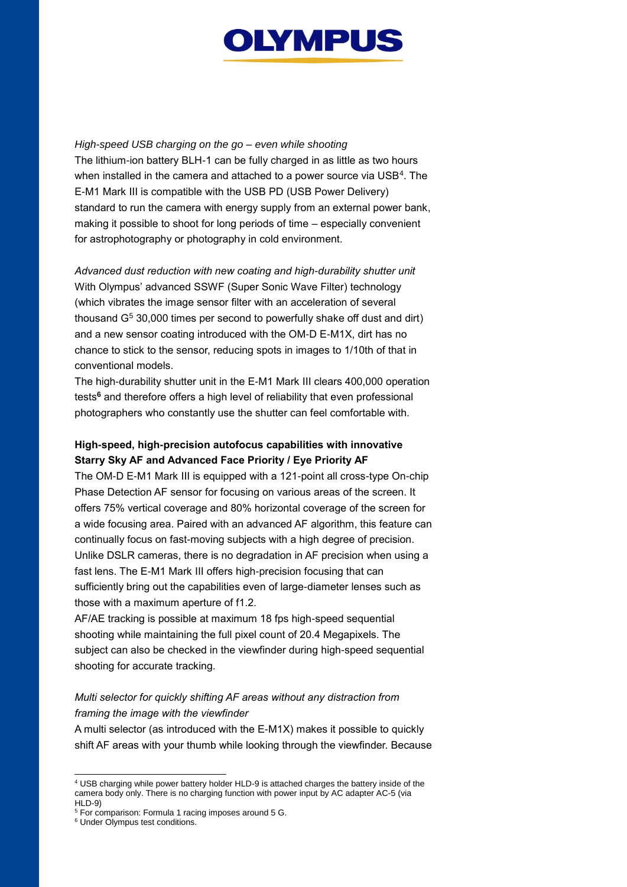

*High-speed USB charging on the go – even while shooting*

The lithium-ion battery BLH-1 can be fully charged in as little as two hours when installed in the camera and attached to a power source via USB<sup>4</sup>. The E-M1 Mark III is compatible with the USB PD (USB Power Delivery) standard to run the camera with energy supply from an external power bank, making it possible to shoot for long periods of time – especially convenient for astrophotography or photography in cold environment.

*Advanced dust reduction with new coating and high-durability shutter unit*  With Olympus' advanced SSWF (Super Sonic Wave Filter) technology (which vibrates the image sensor filter with an acceleration of several thousand  $G<sup>5</sup>$  30,000 times per second to powerfully shake off dust and dirt) and a new sensor coating introduced with the OM-D E-M1X, dirt has no chance to stick to the sensor, reducing spots in images to 1/10th of that in conventional models.

The high-durability shutter unit in the E-M1 Mark III clears 400,000 operation tests **<sup>6</sup>** and therefore offers a high level of reliability that even professional photographers who constantly use the shutter can feel comfortable with.

## **High-speed, high-precision autofocus capabilities with innovative Starry Sky AF and Advanced Face Priority / Eye Priority AF**

The OM-D E-M1 Mark III is equipped with a 121-point all cross-type On-chip Phase Detection AF sensor for focusing on various areas of the screen. It offers 75% vertical coverage and 80% horizontal coverage of the screen for a wide focusing area. Paired with an advanced AF algorithm, this feature can continually focus on fast-moving subjects with a high degree of precision. Unlike DSLR cameras, there is no degradation in AF precision when using a fast lens. The E-M1 Mark III offers high-precision focusing that can sufficiently bring out the capabilities even of large-diameter lenses such as those with a maximum aperture of f1.2.

AF/AE tracking is possible at maximum 18 fps high-speed sequential shooting while maintaining the full pixel count of 20.4 Megapixels. The subject can also be checked in the viewfinder during high-speed sequential shooting for accurate tracking.

## *Multi selector for quickly shifting AF areas without any distraction from framing the image with the viewfinder*

A multi selector (as introduced with the E-M1X) makes it possible to quickly shift AF areas with your thumb while looking through the viewfinder. Because

l

<sup>4</sup> USB charging while power battery holder HLD-9 is attached charges the battery inside of the camera body only. There is no charging function with power input by AC adapter AC-5 (via HLD-9)

<sup>5</sup> For comparison: Formula 1 racing imposes around 5 G.

<sup>6</sup> Under Olympus test conditions.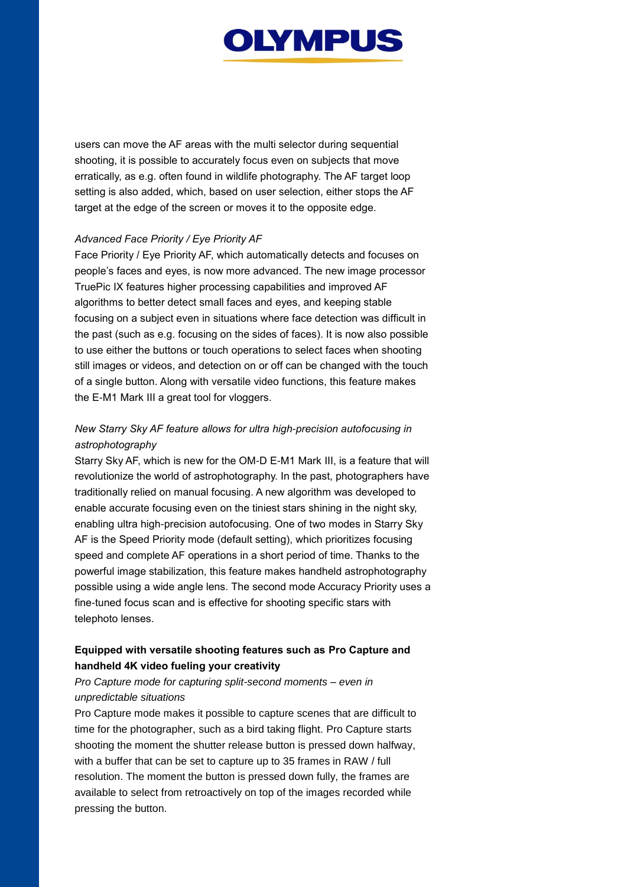

users can move the AF areas with the multi selector during sequential shooting, it is possible to accurately focus even on subjects that move erratically, as e.g. often found in wildlife photography. The AF target loop setting is also added, which, based on user selection, either stops the AF target at the edge of the screen or moves it to the opposite edge.

#### *Advanced Face Priority / Eye Priority AF*

Face Priority / Eye Priority AF, which automatically detects and focuses on people's faces and eyes, is now more advanced. The new image processor TruePic IX features higher processing capabilities and improved AF algorithms to better detect small faces and eyes, and keeping stable focusing on a subject even in situations where face detection was difficult in the past (such as e.g. focusing on the sides of faces). It is now also possible to use either the buttons or touch operations to select faces when shooting still images or videos, and detection on or off can be changed with the touch of a single button. Along with versatile video functions, this feature makes the E-M1 Mark III a great tool for vloggers.

## *New Starry Sky AF feature allows for ultra high-precision autofocusing in astrophotography*

Starry Sky AF, which is new for the OM-D E-M1 Mark III, is a feature that will revolutionize the world of astrophotography. In the past, photographers have traditionally relied on manual focusing. A new algorithm was developed to enable accurate focusing even on the tiniest stars shining in the night sky, enabling ultra high-precision autofocusing. One of two modes in Starry Sky AF is the Speed Priority mode (default setting), which prioritizes focusing speed and complete AF operations in a short period of time. Thanks to the powerful image stabilization, this feature makes handheld astrophotography possible using a wide angle lens. The second mode Accuracy Priority uses a fine-tuned focus scan and is effective for shooting specific stars with telephoto lenses.

## **Equipped with versatile shooting features such as Pro Capture and handheld 4K video fueling your creativity**

## *Pro Capture mode for capturing split-second moments – even in unpredictable situations*

Pro Capture mode makes it possible to capture scenes that are difficult to time for the photographer, such as a bird taking flight. Pro Capture starts shooting the moment the shutter release button is pressed down halfway, with a buffer that can be set to capture up to 35 frames in RAW / full resolution. The moment the button is pressed down fully, the frames are available to select from retroactively on top of the images recorded while pressing the button.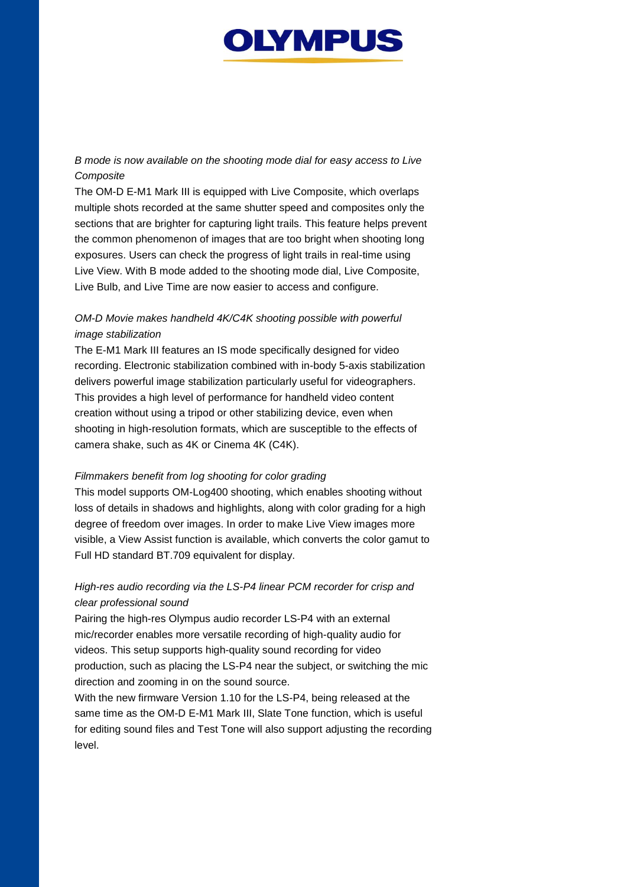

## *B mode is now available on the shooting mode dial for easy access to Live Composite*

The OM-D E-M1 Mark III is equipped with Live Composite, which overlaps multiple shots recorded at the same shutter speed and composites only the sections that are brighter for capturing light trails. This feature helps prevent the common phenomenon of images that are too bright when shooting long exposures. Users can check the progress of light trails in real-time using Live View. With B mode added to the shooting mode dial, Live Composite, Live Bulb, and Live Time are now easier to access and configure.

## *OM-D Movie makes handheld 4K/C4K shooting possible with powerful image stabilization*

The E-M1 Mark III features an IS mode specifically designed for video recording. Electronic stabilization combined with in-body 5-axis stabilization delivers powerful image stabilization particularly useful for videographers. This provides a high level of performance for handheld video content creation without using a tripod or other stabilizing device, even when shooting in high-resolution formats, which are susceptible to the effects of camera shake, such as 4K or Cinema 4K (C4K).

#### *Filmmakers benefit from log shooting for color grading*

This model supports OM-Log400 shooting, which enables shooting without loss of details in shadows and highlights, along with color grading for a high degree of freedom over images. In order to make Live View images more visible, a View Assist function is available, which converts the color gamut to Full HD standard BT.709 equivalent for display.

## *High-res audio recording via the LS-P4 linear PCM recorder for crisp and clear professional sound*

Pairing the high-res Olympus audio recorder LS-P4 with an external mic/recorder enables more versatile recording of high-quality audio for videos. This setup supports high-quality sound recording for video production, such as placing the LS-P4 near the subject, or switching the mic direction and zooming in on the sound source.

With the new firmware Version 1.10 for the LS-P4, being released at the same time as the OM-D E-M1 Mark III, Slate Tone function, which is useful for editing sound files and Test Tone will also support adjusting the recording level.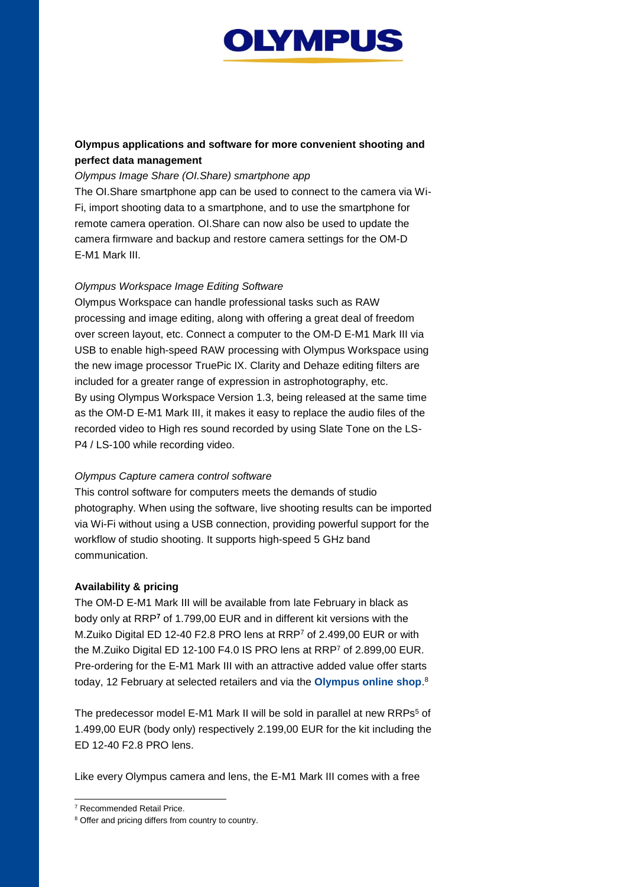

## **Olympus applications and software for more convenient shooting and perfect data management**

#### *Olympus Image Share (OI.Share) smartphone app*

The OI.Share smartphone app can be used to connect to the camera via Wi-Fi, import shooting data to a smartphone, and to use the smartphone for remote camera operation. OI.Share can now also be used to update the camera firmware and backup and restore camera settings for the OM-D E-M1 Mark III.

#### *Olympus Workspace Image Editing Software*

Olympus Workspace can handle professional tasks such as RAW processing and image editing, along with offering a great deal of freedom over screen layout, etc. Connect a computer to the OM-D E-M1 Mark III via USB to enable high-speed RAW processing with Olympus Workspace using the new image processor TruePic IX. Clarity and Dehaze editing filters are included for a greater range of expression in astrophotography, etc. By using Olympus Workspace Version 1.3, being released at the same time as the OM-D E-M1 Mark III, it makes it easy to replace the audio files of the recorded video to High res sound recorded by using Slate Tone on the LS-P4 / LS-100 while recording video.

#### *Olympus Capture camera control software*

This control software for computers meets the demands of studio photography. When using the software, live shooting results can be imported via Wi-Fi without using a USB connection, providing powerful support for the workflow of studio shooting. It supports high-speed 5 GHz band communication.

#### **Availability & pricing**

The OM-D E-M1 Mark III will be available from late February in black as body only at RRP**<sup>7</sup>** of 1.799,00 EUR and in different kit versions with the M.Zuiko Digital ED 12-40 F2.8 PRO lens at RRP<sup>7</sup> of 2.499,00 EUR or with the M.Zuiko Digital ED 12-100 F4.0 IS PRO lens at RRP<sup>7</sup> of 2.899,00 EUR. Pre-ordering for the E-M1 Mark III with an attractive added value offer starts today, 12 February at selected retailers and via the **[Olympus online shop](https://shop.olympus.eu/index.html)**. 8

The predecessor model E-M1 Mark II will be sold in parallel at new RRPs<sup>5</sup> of 1.499,00 EUR (body only) respectively 2.199,00 EUR for the kit including the ED 12-40 F2.8 PRO lens.

Like every Olympus camera and lens, the E-M1 Mark III comes with a free

l

<sup>7</sup> Recommended Retail Price.

<sup>&</sup>lt;sup>8</sup> Offer and pricing differs from country to country.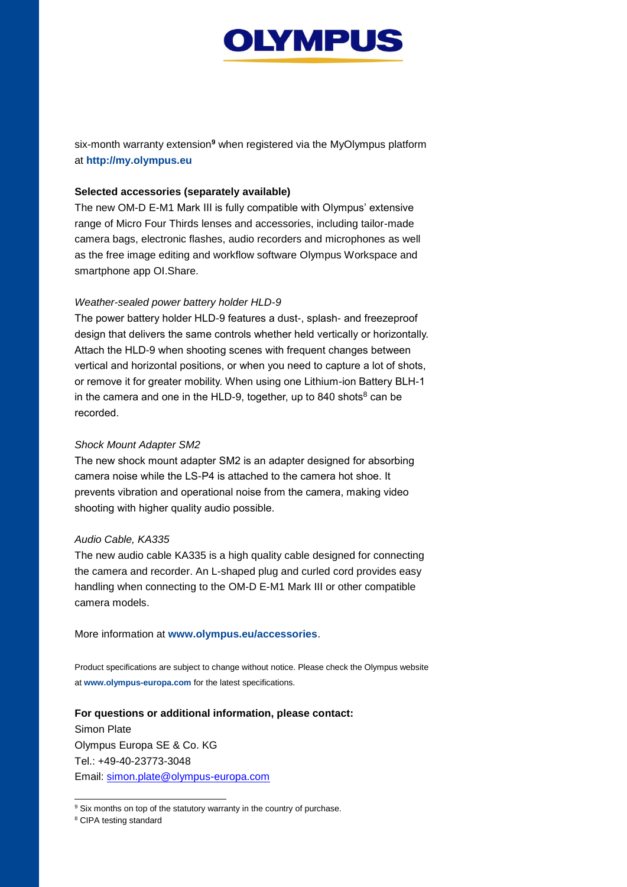

six-month warranty extension**<sup>9</sup>** when registered via the MyOlympus platform at **[http://my.olympus.eu](http://my.olympus.eu/)**

#### **Selected accessories (separately available)**

The new OM-D E-M1 Mark III is fully compatible with Olympus' extensive range of Micro Four Thirds lenses and accessories, including tailor-made camera bags, electronic flashes, audio recorders and microphones as well as the free image editing and workflow software Olympus Workspace and smartphone app OI.Share.

#### *Weather-sealed power battery holder HLD-9*

The power battery holder HLD-9 features a dust-, splash- and freezeproof design that delivers the same controls whether held vertically or horizontally. Attach the HLD-9 when shooting scenes with frequent changes between vertical and horizontal positions, or when you need to capture a lot of shots, or remove it for greater mobility. When using one Lithium-ion Battery BLH-1 in the camera and one in the HLD-9, together, up to 840 shots $8 \text{ can be}$ recorded.

#### *Shock Mount Adapter SM2*

The new shock mount adapter SM2 is an adapter designed for absorbing camera noise while the LS-P4 is attached to the camera hot shoe. It prevents vibration and operational noise from the camera, making video shooting with higher quality audio possible.

#### *Audio Cable, KA335*

The new audio cable KA335 is a high quality cable designed for connecting the camera and recorder. An L-shaped plug and curled cord provides easy handling when connecting to the OM-D E-M1 Mark III or other compatible camera models.

More information at **[www.olympus.eu/accessories](http://www.olympus.eu/accessories)**.

Product specifications are subject to change without notice. Please check the Olympus website at **[www.olympus-europa.com](http://www.olympus-europa.com/)** for the latest specifications.

## **For questions or additional information, please contact:** Simon Plate Olympus Europa SE & Co. KG Tel.: +49-40-23773-3048 Email: simon.plate@olympus-europa.com

<sup>8</sup> CIPA testing standard

l <sup>9</sup> Six months on top of the statutory warranty in the country of purchase.